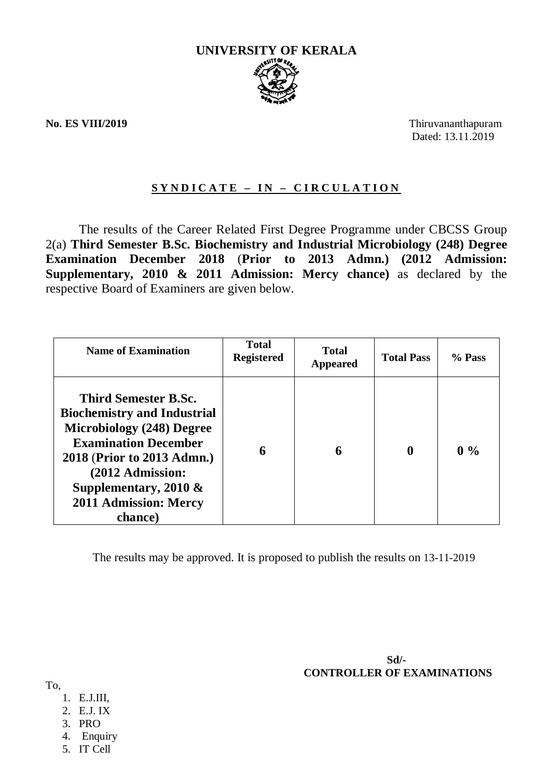

**No. ES VIII/2019** Thiruvananthapuram Dated: 13.11.2019

## **S Y N D I C A T E – I N – C I R C U L A T I O N**

The results of the Career Related First Degree Programme under CBCSS Group 2(a) **Third Semester B.Sc. Biochemistry and Industrial Microbiology (248) Degree Examination December 2018** (**Prior to 2013 Admn.) (2012 Admission: Supplementary, 2010 & 2011 Admission: Mercy chance)** as declared by the respective Board of Examiners are given below.

| <b>Name of Examination</b>                                                                                                                                                                                                                                    | <b>Total</b><br><b>Registered</b> | <b>Total</b><br><b>Appeared</b> | <b>Total Pass</b> | % Pass |
|---------------------------------------------------------------------------------------------------------------------------------------------------------------------------------------------------------------------------------------------------------------|-----------------------------------|---------------------------------|-------------------|--------|
| <b>Third Semester B.Sc.</b><br><b>Biochemistry and Industrial</b><br><b>Microbiology (248) Degree</b><br><b>Examination December</b><br>2018 (Prior to 2013 Admn.)<br>(2012 Admission:<br>Supplementary, 2010 $\&$<br><b>2011 Admission: Mercy</b><br>chance) | 6                                 | 6                               | $\mathbf{0}$      | $0\%$  |

The results may be approved. It is proposed to publish the results on 13-11-2019

 **Sd/- CONTROLLER OF EXAMINATIONS**

To,

- 1. E.J.III,
- 2. E.J. IX
- 3. PRO
- 4. Enquiry
- 5. IT Cell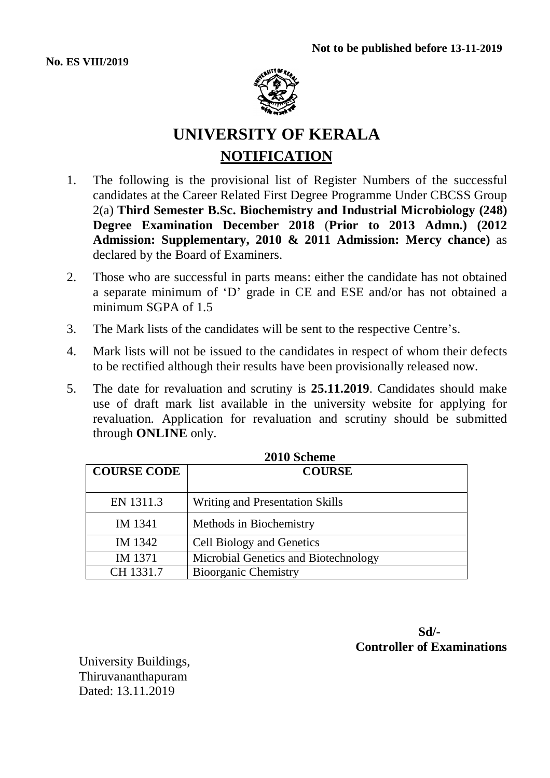

# **UNIVERSITY OF KERALA NOTIFICATION**

- 1. The following is the provisional list of Register Numbers of the successful candidates at the Career Related First Degree Programme Under CBCSS Group 2(a) **Third Semester B.Sc. Biochemistry and Industrial Microbiology (248) Degree Examination December 2018** (**Prior to 2013 Admn.) (2012 Admission: Supplementary, 2010 & 2011 Admission: Mercy chance)** as declared by the Board of Examiners.
- 2. Those who are successful in parts means: either the candidate has not obtained a separate minimum of 'D' grade in CE and ESE and/or has not obtained a minimum SGPA of 1.5
- 3. The Mark lists of the candidates will be sent to the respective Centre's.
- 4. Mark lists will not be issued to the candidates in respect of whom their defects to be rectified although their results have been provisionally released now.
- 5. The date for revaluation and scrutiny is **25.11.2019**. Candidates should make use of draft mark list available in the university website for applying for revaluation. Application for revaluation and scrutiny should be submitted through **ONLINE** only.

| <i>L</i> UTU SCHEME |                                      |  |
|---------------------|--------------------------------------|--|
| <b>COURSE CODE</b>  | <b>COURSE</b>                        |  |
| EN 1311.3           | Writing and Presentation Skills      |  |
| IM 1341             | Methods in Biochemistry              |  |
| IM 1342             | <b>Cell Biology and Genetics</b>     |  |
| IM 1371             | Microbial Genetics and Biotechnology |  |
| CH 1331.7           | <b>Bioorganic Chemistry</b>          |  |

**2010 Scheme**

 **Sd/- Controller of Examinations**

University Buildings, Thiruvananthapuram Dated: 13.11.2019